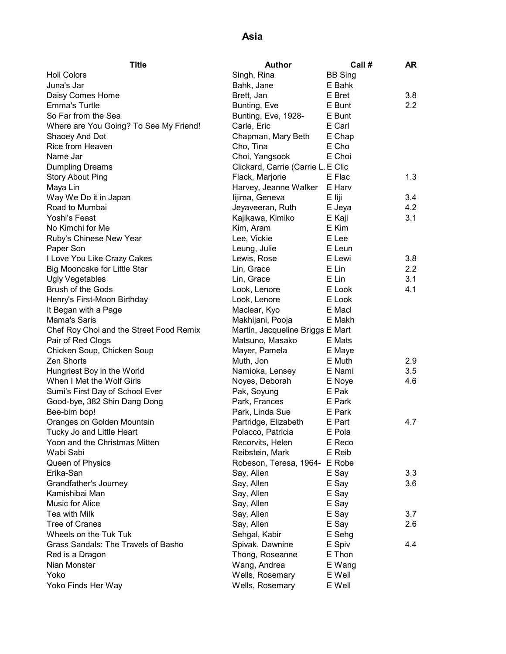| Holi Colors<br><b>BB Sing</b><br>Singh, Rina                                |                  |
|-----------------------------------------------------------------------------|------------------|
|                                                                             |                  |
| Juna's Jar<br>Bahk, Jane<br>E Bahk                                          |                  |
| E Bret<br>Daisy Comes Home<br>Brett, Jan                                    | 3.8              |
| <b>Emma's Turtle</b><br>Bunting, Eve<br>E Bunt                              | $2.2\phantom{0}$ |
| So Far from the Sea<br>Bunting, Eve, 1928-<br>E Bunt                        |                  |
| E Carl<br>Where are You Going? To See My Friend!<br>Carle, Eric             |                  |
| Shaoey And Dot<br>E Chap<br>Chapman, Mary Beth                              |                  |
| <b>Rice from Heaven</b><br>Cho, Tina<br>E Cho                               |                  |
| E Choi<br>Name Jar<br>Choi, Yangsook                                        |                  |
| Clickard, Carrie (Carrie L. E Clic<br><b>Dumpling Dreams</b>                |                  |
| <b>Story About Ping</b><br>Flack, Marjorie<br>E Flac                        | 1.3              |
| Harvey, Jeanne Walker<br>E Harv<br>Maya Lin                                 |                  |
| E liji<br>Way We Do it in Japan<br>lijima, Geneva                           | 3.4              |
| Road to Mumbai<br>Jeyaveeran, Ruth<br>E Jeya                                | 4.2              |
| Yoshi's Feast<br>Kajikawa, Kimiko<br>E Kaji                                 | 3.1              |
| No Kimchi for Me<br>E Kim<br>Kim, Aram                                      |                  |
| Ruby's Chinese New Year<br>E Lee<br>Lee, Vickie                             |                  |
| Paper Son<br>Leung, Julie<br>E Leun                                         |                  |
| I Love You Like Crazy Cakes<br>E Lewi<br>Lewis, Rose                        | 3.8              |
| Big Mooncake for Little Star<br>E Lin<br>Lin, Grace                         | 2.2              |
| <b>Ugly Vegetables</b><br>Lin, Grace<br>E Lin                               | 3.1              |
| <b>Brush of the Gods</b><br>Look, Lenore<br>E Look                          | 4.1              |
| Henry's First-Moon Birthday<br>Look, Lenore<br>E Look                       |                  |
| Maclear, Kyo<br>E Macl<br>It Began with a Page                              |                  |
| Mama's Saris<br>Makhijani, Pooja<br>E Makh                                  |                  |
| Chef Roy Choi and the Street Food Remix<br>Martin, Jacqueline Briggs E Mart |                  |
| Matsuno, Masako<br>Pair of Red Clogs<br>E Mats                              |                  |
| Chicken Soup, Chicken Soup<br>Mayer, Pamela<br>E Maye                       |                  |
| Zen Shorts<br>Muth, Jon<br>E Muth                                           | 2.9              |
| E Nami<br>Hungriest Boy in the World<br>Namioka, Lensey                     | 3.5              |
| When I Met the Wolf Girls<br>Noyes, Deborah<br>E Noye                       | 4.6              |
| Sumi's First Day of School Ever<br>Pak, Soyung<br>E Pak                     |                  |
| Good-bye, 382 Shin Dang Dong<br>Park, Frances<br>E Park                     |                  |
| Bee-bim bop!<br>Park, Linda Sue<br>E Park                                   |                  |
| Oranges on Golden Mountain<br>Partridge, Elizabeth<br>E Part                | 4.7              |
| E Pola<br>Tucky Jo and Little Heart<br>Polacco, Patricia                    |                  |
| Yoon and the Christmas Mitten<br>E Reco<br>Recorvits, Helen                 |                  |
| Wabi Sabi<br>E Reib<br>Reibstein, Mark                                      |                  |
| Queen of Physics<br>Robeson, Teresa, 1964-<br>E Robe                        |                  |
| Erika-San<br>Say, Allen<br>E Say                                            | 3.3              |
| Grandfather's Journey<br>Say, Allen<br>E Say                                | 3.6              |
| Kamishibai Man<br>Say, Allen<br>E Say                                       |                  |
| Music for Alice<br>Say, Allen<br>E Say                                      |                  |
| Tea with Milk<br>Say, Allen<br>E Say                                        | 3.7              |
| <b>Tree of Cranes</b><br>Say, Allen<br>E Say                                | 2.6              |
| Wheels on the Tuk Tuk<br>E Sehg<br>Sehgal, Kabir                            |                  |
| Grass Sandals: The Travels of Basho<br>E Spiv<br>Spivak, Dawnine            | 4.4              |
| Thong, Roseanne<br>E Thon<br>Red is a Dragon                                |                  |
| Nian Monster<br>Wang, Andrea<br>E Wang                                      |                  |
| Wells, Rosemary<br>E Well<br>Yoko                                           |                  |
| E Well<br>Yoko Finds Her Way<br>Wells, Rosemary                             |                  |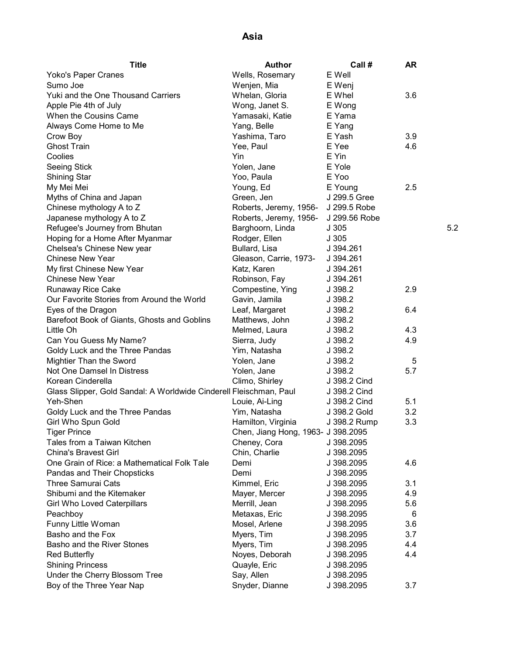| <b>Title</b>                                                       | <b>Author</b>                      | Call #        | AR  |     |
|--------------------------------------------------------------------|------------------------------------|---------------|-----|-----|
| Yoko's Paper Cranes                                                | Wells, Rosemary                    | E Well        |     |     |
| Sumo Joe                                                           | Wenjen, Mia                        | E Wenj        |     |     |
| Yuki and the One Thousand Carriers                                 | Whelan, Gloria                     | E Whel        | 3.6 |     |
| Apple Pie 4th of July                                              | Wong, Janet S.                     | E Wong        |     |     |
| When the Cousins Came                                              | Yamasaki, Katie                    | E Yama        |     |     |
| Always Come Home to Me                                             | Yang, Belle                        | E Yang        |     |     |
| Crow Boy                                                           | Yashima, Taro                      | E Yash        | 3.9 |     |
| <b>Ghost Train</b>                                                 | Yee, Paul                          | E Yee         | 4.6 |     |
| Coolies                                                            | Yin                                | E Yin         |     |     |
| <b>Seeing Stick</b>                                                | Yolen, Jane                        | E Yole        |     |     |
| <b>Shining Star</b>                                                | Yoo, Paula                         | E Yoo         |     |     |
| My Mei Mei                                                         | Young, Ed                          | E Young       | 2.5 |     |
| Myths of China and Japan                                           | Green, Jen                         | J 299.5 Gree  |     |     |
| Chinese mythology A to Z                                           | Roberts, Jeremy, 1956-             | J 299.5 Robe  |     |     |
| Japanese mythology A to Z                                          | Roberts, Jeremy, 1956-             | J 299.56 Robe |     |     |
| Refugee's Journey from Bhutan                                      | Barghoorn, Linda                   | J305          |     | 5.2 |
| Hoping for a Home After Myanmar                                    | Rodger, Ellen                      | J305          |     |     |
| Chelsea's Chinese New year                                         |                                    | J 394.261     |     |     |
|                                                                    | Bullard, Lisa                      | J 394.261     |     |     |
| <b>Chinese New Year</b>                                            | Gleason, Carrie, 1973-             |               |     |     |
| My first Chinese New Year                                          | Katz, Karen                        | J 394.261     |     |     |
| Chinese New Year                                                   | Robinson, Fay                      | J 394.261     |     |     |
| Runaway Rice Cake                                                  | Compestine, Ying                   | J 398.2       | 2.9 |     |
| Our Favorite Stories from Around the World                         | Gavin, Jamila                      | J 398.2       |     |     |
| Eyes of the Dragon                                                 | Leaf, Margaret                     | J 398.2       | 6.4 |     |
| Barefoot Book of Giants, Ghosts and Goblins                        | Matthews, John                     | J 398.2       |     |     |
| Little Oh                                                          | Melmed, Laura                      | J 398.2       | 4.3 |     |
| Can You Guess My Name?                                             | Sierra, Judy                       | J.398.2       | 4.9 |     |
| Goldy Luck and the Three Pandas                                    | Yim, Natasha                       | J 398.2       |     |     |
| Mightier Than the Sword                                            | Yolen, Jane                        | J 398.2       | 5   |     |
| Not One Damsel In Distress                                         | Yolen, Jane                        | J 398.2       | 5.7 |     |
| Korean Cinderella                                                  | Climo, Shirley                     | J 398.2 Cind  |     |     |
| Glass Slipper, Gold Sandal: A Worldwide Cinderell Fleischman, Paul |                                    | J 398.2 Cind  |     |     |
| Yeh-Shen                                                           | Louie, Ai-Ling                     | J 398.2 Cind  | 5.1 |     |
| Goldy Luck and the Three Pandas                                    | Yim, Natasha                       | J 398.2 Gold  | 3.2 |     |
| Girl Who Spun Gold                                                 | Hamilton, Virginia                 | J 398.2 Rump  | 3.3 |     |
| <b>Tiger Prince</b>                                                | Chen, Jiang Hong, 1963- J 398.2095 |               |     |     |
| Tales from a Taiwan Kitchen                                        | Cheney, Cora                       | J 398.2095    |     |     |
| <b>China's Bravest Girl</b>                                        | Chin, Charlie                      | J 398.2095    |     |     |
| One Grain of Rice: a Mathematical Folk Tale                        | Demi                               | J 398.2095    | 4.6 |     |
| Pandas and Their Chopsticks                                        | Demi                               | J 398.2095    |     |     |
| <b>Three Samurai Cats</b>                                          | Kimmel, Eric                       | J 398.2095    | 3.1 |     |
| Shibumi and the Kitemaker                                          | Mayer, Mercer                      | J 398.2095    | 4.9 |     |
| <b>Girl Who Loved Caterpillars</b>                                 | Merrill, Jean                      | J 398.2095    | 5.6 |     |
| Peachboy                                                           | Metaxas, Eric                      | J 398.2095    | 6   |     |
| Funny Little Woman                                                 | Mosel, Arlene                      | J 398.2095    | 3.6 |     |
| Basho and the Fox                                                  | Myers, Tim                         | J 398.2095    | 3.7 |     |
| Basho and the River Stones                                         | Myers, Tim                         | J 398.2095    | 4.4 |     |
| <b>Red Butterfly</b>                                               | Noyes, Deborah                     | J 398.2095    | 4.4 |     |
|                                                                    |                                    |               |     |     |
| <b>Shining Princess</b>                                            | Quayle, Eric                       | J 398.2095    |     |     |
| Under the Cherry Blossom Tree                                      | Say, Allen                         | J 398.2095    |     |     |
| Boy of the Three Year Nap                                          | Snyder, Dianne                     | J 398.2095    | 3.7 |     |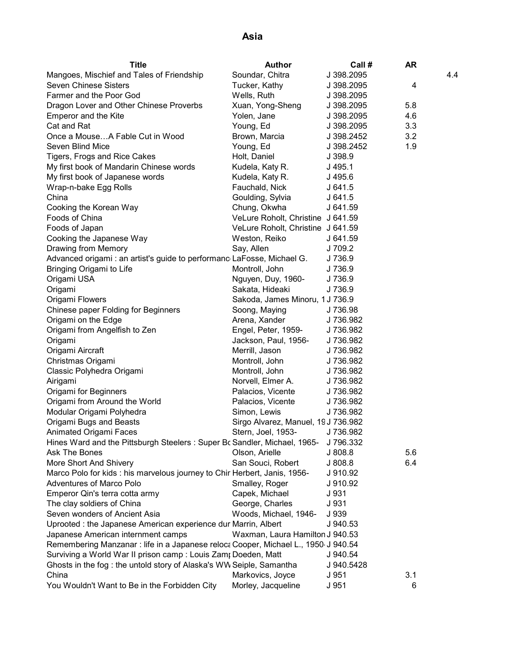| <b>Title</b>                                                                       | <b>Author</b>                       | Call #                                           | <b>AR</b> |     |
|------------------------------------------------------------------------------------|-------------------------------------|--------------------------------------------------|-----------|-----|
| Mangoes, Mischief and Tales of Friendship                                          | Soundar, Chitra                     | J 398.2095                                       |           | 4.4 |
| <b>Seven Chinese Sisters</b>                                                       | Tucker, Kathy                       | J 398.2095                                       | 4         |     |
| Farmer and the Poor God                                                            | Wells, Ruth                         | J 398.2095                                       |           |     |
| Dragon Lover and Other Chinese Proverbs                                            | Xuan, Yong-Sheng                    | J 398.2095                                       | 5.8       |     |
| <b>Emperor and the Kite</b>                                                        | Yolen, Jane                         | J 398.2095                                       | 4.6       |     |
| Cat and Rat                                                                        | Young, Ed                           | J 398.2095                                       | 3.3       |     |
| Once a MouseA Fable Cut in Wood                                                    | Brown, Marcia                       | J 398.2452                                       | 3.2       |     |
| Seven Blind Mice                                                                   | Young, Ed                           | J 398.2452                                       | 1.9       |     |
| Tigers, Frogs and Rice Cakes                                                       | Holt, Daniel                        | J 398.9                                          |           |     |
| My first book of Mandarin Chinese words                                            | Kudela, Katy R.                     | $J$ 495.1                                        |           |     |
| My first book of Japanese words                                                    | Kudela, Katy R.                     | $J$ 495.6<br>$J$ 641.5<br>$J$ 641.5              |           |     |
| Wrap-n-bake Egg Rolls                                                              | Fauchald, Nick                      |                                                  |           |     |
| China                                                                              | Goulding, Sylvia                    |                                                  |           |     |
| Cooking the Korean Way                                                             | Chung, Okwha                        | J 641.59                                         |           |     |
| Foods of China                                                                     | VeLure Roholt, Christine J 641.59   |                                                  |           |     |
| Foods of Japan                                                                     | VeLure Roholt, Christine J 641.59   |                                                  |           |     |
| Cooking the Japanese Way                                                           | Weston, Reiko                       | J 641.59                                         |           |     |
| Drawing from Memory                                                                | Say, Allen                          | J 709.2                                          |           |     |
| Advanced origami : an artist's guide to performanc LaFosse, Michael G.             |                                     | J 736.9                                          |           |     |
| Bringing Origami to Life                                                           | Montroll, John                      | J 736.9                                          |           |     |
| Origami USA                                                                        | Nguyen, Duy, 1960-                  | J 736.9                                          |           |     |
| Origami                                                                            | Sakata, Hideaki                     | J 736.9                                          |           |     |
| Origami Flowers                                                                    | Sakoda, James Minoru, 1 J 736.9     |                                                  |           |     |
| Chinese paper Folding for Beginners                                                | Soong, Maying                       | J736.98                                          |           |     |
| Origami on the Edge                                                                | Arena, Xander                       | J 736.982                                        |           |     |
| Origami from Angelfish to Zen                                                      | Engel, Peter, 1959-                 | J 736.982                                        |           |     |
| Origami                                                                            | Jackson, Paul, 1956- J 736.982      |                                                  |           |     |
| Origami Aircraft                                                                   | Merrill, Jason                      | 3 736.982<br>J 736.982<br>J 736.982<br>J 736.982 |           |     |
| Christmas Origami                                                                  | Montroll, John                      |                                                  |           |     |
| Classic Polyhedra Origami                                                          | Montroll, John                      |                                                  |           |     |
| Airigami                                                                           | Norvell, Elmer A. J 736.982         |                                                  |           |     |
| Origami for Beginners                                                              | Palacios, Vicente J 736.982         |                                                  |           |     |
| Origami from Around the World                                                      | Palacios, Vicente J 736.982         |                                                  |           |     |
| Modular Origami Polyhedra                                                          | Simon, Lewis                        | J 736.982                                        |           |     |
| Origami Bugs and Beasts                                                            | Sirgo Alvarez, Manuel, 19 J 736.982 |                                                  |           |     |
| Animated Origami Faces                                                             | Stern, Joel, 1953-                  | J 736.982                                        |           |     |
| Hines Ward and the Pittsburgh Steelers: Super Bc Sandler, Michael, 1965-           |                                     | J 796.332                                        |           |     |
| <b>Ask The Bones</b>                                                               | Olson, Arielle                      | J808.8                                           | 5.6       |     |
| More Short And Shivery                                                             | San Souci, Robert                   | J808.8                                           | 6.4       |     |
| Marco Polo for kids: his marvelous journey to Chir Herbert, Janis, 1956-           |                                     | J 910.92                                         |           |     |
| <b>Adventures of Marco Polo</b>                                                    | Smalley, Roger                      | J 910.92                                         |           |     |
| Emperor Qin's terra cotta army                                                     | Capek, Michael                      | J 931                                            |           |     |
| The clay soldiers of China                                                         | George, Charles                     | J 931                                            |           |     |
| Seven wonders of Ancient Asia                                                      | Woods, Michael, 1946-               | J 939                                            |           |     |
| Uprooted : the Japanese American experience dur Marrin, Albert                     |                                     | J 940.53                                         |           |     |
| Japanese American internment camps                                                 | Waxman, Laura Hamilton J 940.53     |                                                  |           |     |
| Remembering Manzanar : life in a Japanese reloca Cooper, Michael L., 1950 J 940.54 |                                     |                                                  |           |     |
| Surviving a World War II prison camp: Louis Zam; Doeden, Matt                      |                                     | J 940.54                                         |           |     |
| Ghosts in the fog: the untold story of Alaska's WW Seiple, Samantha                |                                     | J 940.5428                                       |           |     |
| China                                                                              | Markovics, Joyce                    | J 951                                            | 3.1       |     |
| You Wouldn't Want to Be in the Forbidden City                                      | Morley, Jacqueline                  | J 951                                            | 6         |     |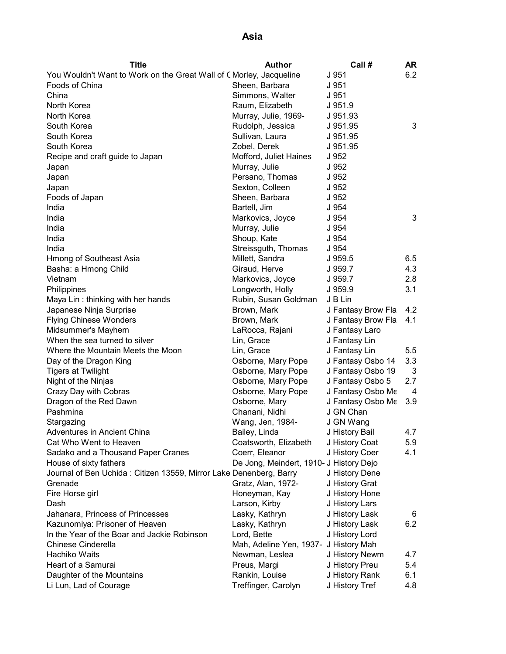| Title                                                               | <b>Author</b>                           | Call#              | AR  |
|---------------------------------------------------------------------|-----------------------------------------|--------------------|-----|
| You Wouldn't Want to Work on the Great Wall of C Morley, Jacqueline |                                         | J 951              | 6.2 |
| Foods of China                                                      | Sheen, Barbara                          | J 951              |     |
| China                                                               | Simmons, Walter                         | J 951              |     |
| North Korea                                                         | Raum, Elizabeth                         | J 951.9            |     |
| North Korea                                                         | Murray, Julie, 1969-                    | J 951.93           |     |
| South Korea                                                         | Rudolph, Jessica                        | J 951.95           | 3   |
| South Korea                                                         | Sullivan, Laura                         | J 951.95           |     |
| South Korea                                                         | Zobel, Derek                            | J 951.95           |     |
| Recipe and craft guide to Japan                                     | Mofford, Juliet Haines                  | J 952              |     |
| Japan                                                               | Murray, Julie                           | J 952              |     |
| Japan                                                               | Persano, Thomas                         | J 952              |     |
| Japan                                                               | Sexton, Colleen                         | J 952              |     |
| Foods of Japan                                                      | Sheen, Barbara                          | J 952              |     |
| India                                                               | Bartell, Jim                            | J 954              |     |
| India                                                               | Markovics, Joyce                        | J 954              | 3   |
| India                                                               | Murray, Julie                           | J 954              |     |
| India                                                               | Shoup, Kate                             | J 954              |     |
| India                                                               | Streissguth, Thomas                     | J 954              |     |
| Hmong of Southeast Asia                                             | Millett, Sandra                         | J 959.5            | 6.5 |
| Basha: a Hmong Child                                                | Giraud, Herve                           | J 959.7            | 4.3 |
| Vietnam                                                             | Markovics, Joyce                        | J 959.7            | 2.8 |
| Philippines                                                         | Longworth, Holly                        | J 959.9            | 3.1 |
| Maya Lin: thinking with her hands                                   | Rubin, Susan Goldman                    | J B Lin            |     |
| Japanese Ninja Surprise                                             | Brown, Mark                             | J Fantasy Brow Fla | 4.2 |
| <b>Flying Chinese Wonders</b>                                       | Brown, Mark                             | J Fantasy Brow Fla | 4.1 |
| Midsummer's Mayhem                                                  | LaRocca, Rajani                         | J Fantasy Laro     |     |
| When the sea turned to silver                                       | Lin, Grace                              | J Fantasy Lin      |     |
| Where the Mountain Meets the Moon                                   | Lin, Grace                              | J Fantasy Lin      | 5.5 |
| Day of the Dragon King                                              | Osborne, Mary Pope                      | J Fantasy Osbo 14  | 3.3 |
| <b>Tigers at Twilight</b>                                           | Osborne, Mary Pope                      | J Fantasy Osbo 19  | 3   |
| Night of the Ninjas                                                 | Osborne, Mary Pope                      | J Fantasy Osbo 5   | 2.7 |
| Crazy Day with Cobras                                               | Osborne, Mary Pope                      | J Fantasy Osbo Me  | 4   |
| Dragon of the Red Dawn                                              | Osborne, Mary                           | J Fantasy Osbo Me  | 3.9 |
| Pashmina                                                            | Chanani, Nidhi                          | J GN Chan          |     |
| Stargazing                                                          | Wang, Jen, 1984-                        | J GN Wang          |     |
| Adventures in Ancient China                                         | Bailey, Linda                           | J History Bail     | 4.7 |
| Cat Who Went to Heaven                                              | Coatsworth, Elizabeth                   | J History Coat     | 5.9 |
| Sadako and a Thousand Paper Cranes                                  | Coerr, Eleanor                          | J History Coer     | 4.1 |
| House of sixty fathers                                              | De Jong, Meindert, 1910- J History Dejo |                    |     |
| Journal of Ben Uchida: Citizen 13559, Mirror Lake Denenberg, Barry  |                                         | J History Dene     |     |
| Grenade                                                             | Gratz, Alan, 1972-                      | J History Grat     |     |
| Fire Horse girl                                                     | Honeyman, Kay                           | J History Hone     |     |
| Dash                                                                | Larson, Kirby                           | J History Lars     |     |
| Jahanara, Princess of Princesses                                    | Lasky, Kathryn                          | J History Lask     | 6   |
| Kazunomiya: Prisoner of Heaven                                      | Lasky, Kathryn                          | J History Lask     | 6.2 |
| In the Year of the Boar and Jackie Robinson                         | Lord, Bette                             | J History Lord     |     |
| Chinese Cinderella                                                  | Mah, Adeline Yen, 1937- J History Mah   |                    |     |
| Hachiko Waits                                                       | Newman, Leslea                          | J History Newm     | 4.7 |
| Heart of a Samurai                                                  | Preus, Margi                            | J History Preu     | 5.4 |
| Daughter of the Mountains                                           | Rankin, Louise                          | J History Rank     | 6.1 |
| Li Lun, Lad of Courage                                              | Treffinger, Carolyn                     | J History Tref     | 4.8 |
|                                                                     |                                         |                    |     |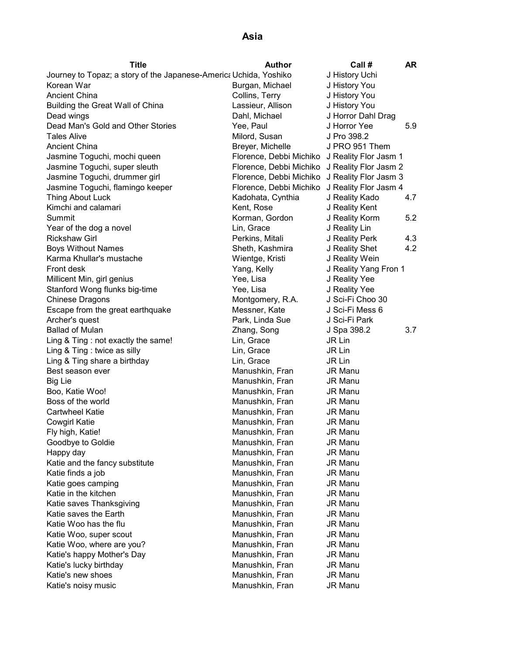| <b>Title</b>                                                      | <b>Author</b>           | Call #                | AR. |
|-------------------------------------------------------------------|-------------------------|-----------------------|-----|
| Journey to Topaz; a story of the Japanese-America Uchida, Yoshiko |                         | J History Uchi        |     |
| Korean War                                                        | Burgan, Michael         | J History You         |     |
| <b>Ancient China</b>                                              | Collins, Terry          | J History You         |     |
| Building the Great Wall of China                                  | Lassieur, Allison       | J History You         |     |
| Dead wings                                                        | Dahl, Michael           | J Horror Dahl Drag    |     |
| Dead Man's Gold and Other Stories                                 | Yee, Paul               | J Horror Yee          | 5.9 |
| <b>Tales Alive</b>                                                | Milord, Susan           | J Pro 398.2           |     |
| <b>Ancient China</b>                                              | Breyer, Michelle        | J PRO 951 Them        |     |
| Jasmine Toguchi, mochi queen                                      | Florence, Debbi Michiko | J Reality Flor Jasm 1 |     |
| Jasmine Toguchi, super sleuth                                     | Florence, Debbi Michiko | J Reality Flor Jasm 2 |     |
| Jasmine Toguchi, drummer girl                                     | Florence, Debbi Michiko | J Reality Flor Jasm 3 |     |
| Jasmine Toguchi, flamingo keeper                                  | Florence, Debbi Michiko | J Reality Flor Jasm 4 |     |
| Thing About Luck                                                  | Kadohata, Cynthia       | J Reality Kado        | 4.7 |
| Kimchi and calamari                                               | Kent, Rose              | J Reality Kent        |     |
| Summit                                                            | Korman, Gordon          | J Reality Korm        | 5.2 |
| Year of the dog a novel                                           | Lin, Grace              | J Reality Lin         |     |
| <b>Rickshaw Girl</b>                                              | Perkins, Mitali         | J Reality Perk        | 4.3 |
| <b>Boys Without Names</b>                                         | Sheth, Kashmira         | J Reality Shet        | 4.2 |
| Karma Khullar's mustache                                          | Wientge, Kristi         | J Reality Wein        |     |
| Front desk                                                        | Yang, Kelly             | J Reality Yang Fron 1 |     |
| Millicent Min, girl genius                                        | Yee, Lisa               | J Reality Yee         |     |
| Stanford Wong flunks big-time                                     | Yee, Lisa               | J Reality Yee         |     |
| Chinese Dragons                                                   | Montgomery, R.A.        | J Sci-Fi Choo 30      |     |
| Escape from the great earthquake                                  | Messner, Kate           | J Sci-Fi Mess 6       |     |
| Archer's quest                                                    | Park, Linda Sue         | J Sci-Fi Park         |     |
| <b>Ballad of Mulan</b>                                            | Zhang, Song             | J Spa 398.2           | 3.7 |
| Ling & Ting : not exactly the same!                               | Lin, Grace              | JR Lin                |     |
| Ling & Ting : twice as silly                                      | Lin, Grace              | JR Lin                |     |
| Ling & Ting share a birthday                                      | Lin, Grace              | JR Lin                |     |
| Best season ever                                                  | Manushkin, Fran         | JR Manu               |     |
| Big Lie                                                           | Manushkin, Fran         | <b>JR Manu</b>        |     |
| Boo, Katie Woo!                                                   | Manushkin, Fran         | <b>JR Manu</b>        |     |
| Boss of the world                                                 | Manushkin, Fran         | <b>JR Manu</b>        |     |
| <b>Cartwheel Katie</b>                                            | Manushkin, Fran         | <b>JR Manu</b>        |     |
| <b>Cowgirl Katie</b>                                              | Manushkin, Fran         | <b>JR Manu</b>        |     |
| Fly high, Katie!                                                  | Manushkin, Fran         | JR Manu               |     |
| Goodbye to Goldie                                                 | Manushkin, Fran         | <b>JR Manu</b>        |     |
| Happy day                                                         | Manushkin, Fran         | JR Manu               |     |
| Katie and the fancy substitute                                    | Manushkin, Fran         | JR Manu               |     |
| Katie finds a job                                                 | Manushkin, Fran         | <b>JR Manu</b>        |     |
| Katie goes camping                                                | Manushkin, Fran         | <b>JR Manu</b>        |     |
| Katie in the kitchen                                              | Manushkin, Fran         | <b>JR Manu</b>        |     |
| Katie saves Thanksgiving                                          | Manushkin, Fran         | JR Manu               |     |
| Katie saves the Earth                                             | Manushkin, Fran         | <b>JR Manu</b>        |     |
| Katie Woo has the flu                                             | Manushkin, Fran         | <b>JR Manu</b>        |     |
| Katie Woo, super scout                                            | Manushkin, Fran         | <b>JR Manu</b>        |     |
| Katie Woo, where are you?                                         | Manushkin, Fran         | <b>JR Manu</b>        |     |
| Katie's happy Mother's Day                                        | Manushkin, Fran         | <b>JR Manu</b>        |     |
| Katie's lucky birthday                                            | Manushkin, Fran         | <b>JR Manu</b>        |     |
| Katie's new shoes                                                 | Manushkin, Fran         | JR Manu               |     |
| Katie's noisy music                                               | Manushkin, Fran         | JR Manu               |     |